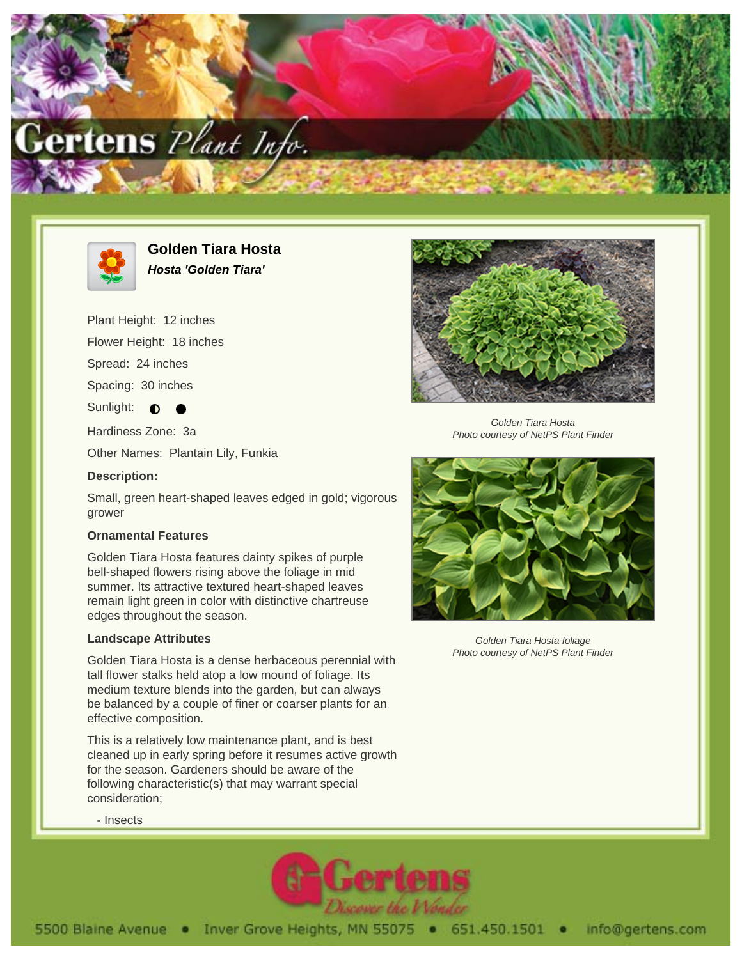



**Golden Tiara Hosta Hosta 'Golden Tiara'**

Plant Height: 12 inches

Flower Height: 18 inches

Spread: 24 inches

Spacing: 30 inches

Sunlight:  $\bullet$ 

Hardiness Zone: 3a

Other Names: Plantain Lily, Funkia

## **Description:**

Small, green heart-shaped leaves edged in gold; vigorous grower

## **Ornamental Features**

Golden Tiara Hosta features dainty spikes of purple bell-shaped flowers rising above the foliage in mid summer. Its attractive textured heart-shaped leaves remain light green in color with distinctive chartreuse edges throughout the season.

## **Landscape Attributes**

Golden Tiara Hosta is a dense herbaceous perennial with tall flower stalks held atop a low mound of foliage. Its medium texture blends into the garden, but can always be balanced by a couple of finer or coarser plants for an effective composition.

This is a relatively low maintenance plant, and is best cleaned up in early spring before it resumes active growth for the season. Gardeners should be aware of the following characteristic(s) that may warrant special consideration;



Golden Tiara Hosta Photo courtesy of NetPS Plant Finder



Golden Tiara Hosta foliage Photo courtesy of NetPS Plant Finder